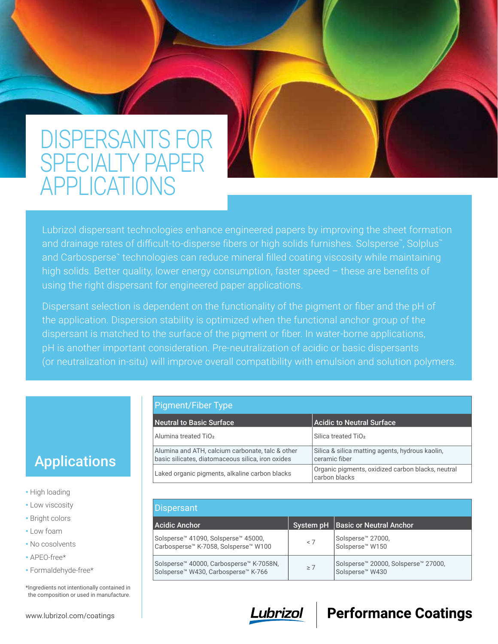# DISPERSANTS FOR SPECIALTY PAPER APPLICATIONS

Lubrizol dispersant technologies enhance engineered papers by improving the sheet formation and drainage rates of difficult-to-disperse fibers or high solids furnishes. Solsperse™, Solplus™ and Carbosperse™ technologies can reduce mineral filled coating viscosity while maintaining high solids. Better quality, lower energy consumption, faster speed - these are benefits of using the right dispersant for engineered paper applications.

Dispersant selection is dependent on the functionality of the pigment or fiber and the pH of the application. Dispersion stability is optimized when the functional anchor group of the dispersant is matched to the surface of the pigment or fiber. In water-borne applications, pH is another important consideration. Pre-neutralization of acidic or basic dispersants (or neutralization in-situ) will improve overall compatibility with emulsion and solution polymers.

Pigment/Fiber Type

| Neutral to Basic Surface                                                                              | <b>Acidic to Neutral Surface</b>                                   |
|-------------------------------------------------------------------------------------------------------|--------------------------------------------------------------------|
| Alumina treated TiO <sub>2</sub>                                                                      | Silica treated TiO <sub>2</sub>                                    |
| Alumina and ATH, calcium carbonate, talc & other<br>basic silicates, diatomaceous silica, iron oxides | Silica & silica matting agents, hydrous kaolin,<br>ceramic fiber   |
| Laked organic pigments, alkaline carbon blacks                                                        | Organic pigments, oxidized carbon blacks, neutral<br>carbon blacks |

| Dispersant                                                                                 |          |                                                                                            |  |  |  |  |  |
|--------------------------------------------------------------------------------------------|----------|--------------------------------------------------------------------------------------------|--|--|--|--|--|
| <b>Acidic Anchor</b>                                                                       |          | System pH   Basic or Neutral Anchor                                                        |  |  |  |  |  |
| Solsperse™ 41090, Solsperse™ 45000,<br>Carbosperse™ K-7058, Solsperse™ W100                | < 7      | Solsperse <sup>™</sup> 27000,<br>Solsperse <sup>™</sup> W150                               |  |  |  |  |  |
| Solsperse™ 40000, Carbosperse™ K-7058N,<br>Solsperse <sup>™</sup> W430, Carbosperse™ K-766 | $\geq 7$ | Solsperse <sup>™</sup> 20000, Solsperse <sup>™</sup> 27000,<br>Solsperse <sup>™</sup> W430 |  |  |  |  |  |



## **Performance Coatings**

## Applications

- High loading
- Low viscosity
- Bright colors
- Low foam
- No cosolvents
- APEO-free\*
- Formaldehyde-free\*

\*Ingredients not intentionally contained in the composition or used in manufacture.